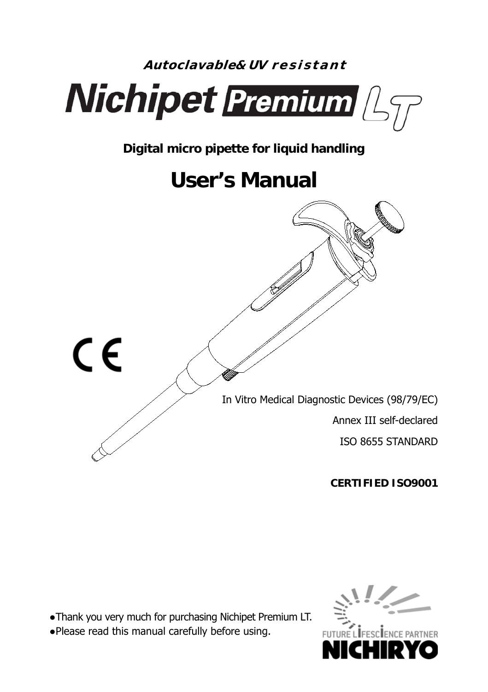

**CERTIFIED ISO9001** 

●Thank you very much for purchasing Nichipet Premium LT.

●Please read this manual carefully before using.

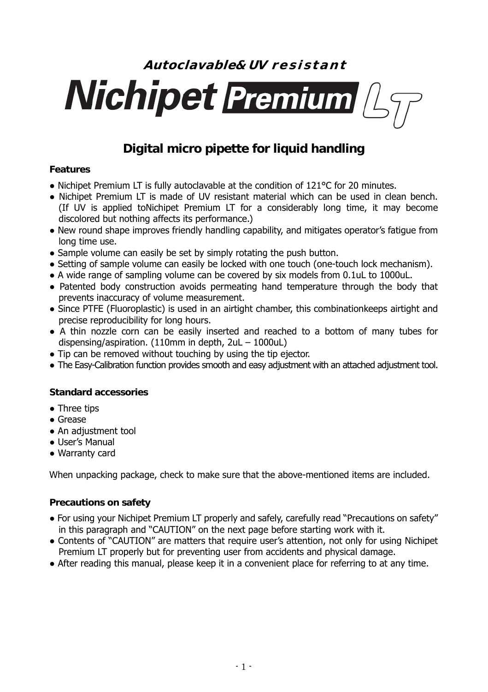# **Autoclavable& UV r e s i s t a n t Nichipet Premium** Asy

# **Digital micro pipette for liquid handling**

#### **Features**

- Nichipet Premium LT is fully autoclavable at the condition of 121°C for 20 minutes.
- Nichipet Premium LT is made of UV resistant material which can be used in clean bench. (If UV is applied toNichipet Premium LT for a considerably long time, it may become discolored but nothing affects its performance.)
- New round shape improves friendly handling capability, and mitigates operator's fatigue from long time use.
- Sample volume can easily be set by simply rotating the push button.
- Setting of sample volume can easily be locked with one touch (one-touch lock mechanism).
- A wide range of sampling volume can be covered by six models from 0.1uL to 1000uL.
- Patented body construction avoids permeating hand temperature through the body that prevents inaccuracy of volume measurement.
- Since PTFE (Fluoroplastic) is used in an airtight chamber, this combinationkeeps airtight and precise reproducibility for long hours.
- A thin nozzle corn can be easily inserted and reached to a bottom of many tubes for dispensing/aspiration. (110mm in depth, 2uL – 1000uL)
- Tip can be removed without touching by using the tip ejector.
- The Easy-Calibration function provides smooth and easy adjustment with an attached adjustment tool.

#### **Standard accessories**

- Three tips
- Grease
- An adjustment tool
- User's Manual
- Warranty card

When unpacking package, check to make sure that the above-mentioned items are included.

#### **Precautions on safety**

- For using your Nichipet Premium LT properly and safely, carefully read "Precautions on safety" in this paragraph and "CAUTION" on the next page before starting work with it.
- Contents of "CAUTION" are matters that require user's attention, not only for using Nichipet Premium LT properly but for preventing user from accidents and physical damage.
- After reading this manual, please keep it in a convenient place for referring to at any time.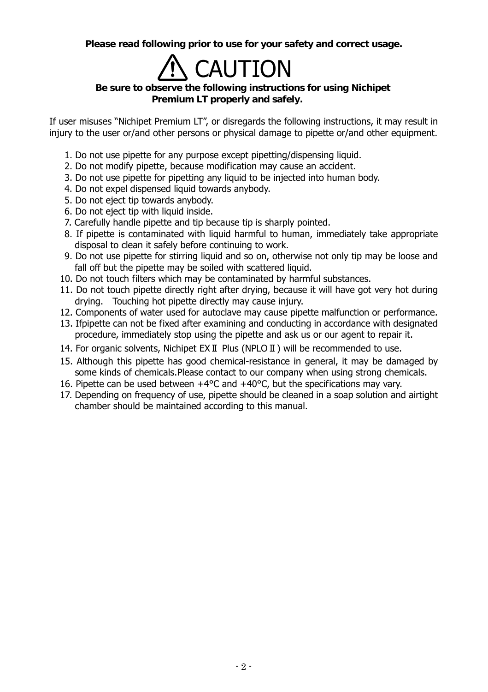**Please read following prior to use for your safety and correct usage.**

# **CAUTION**

### **Be sure to observe the following instructions for using Nichipet Premium LT properly and safely.**

If user misuses "Nichipet Premium LT", or disregards the following instructions, it may result in injury to the user or/and other persons or physical damage to pipette or/and other equipment.

- 1. Do not use pipette for any purpose except pipetting/dispensing liquid.
- 2. Do not modify pipette, because modification may cause an accident.
- 3. Do not use pipette for pipetting any liquid to be injected into human body.
- 4. Do not expel dispensed liquid towards anybody.
- 5. Do not eject tip towards anybody.
- 6. Do not eject tip with liquid inside.
- 7. Carefully handle pipette and tip because tip is sharply pointed.
- 8. If pipette is contaminated with liquid harmful to human, immediately take appropriate disposal to clean it safely before continuing to work.
- 9. Do not use pipette for stirring liquid and so on, otherwise not only tip may be loose and fall off but the pipette may be soiled with scattered liquid.
- 10. Do not touch filters which may be contaminated by harmful substances.
- 11. Do not touch pipette directly right after drying, because it will have got very hot during drying. Touching hot pipette directly may cause injury.
- 12. Components of water used for autoclave may cause pipette malfunction or performance.
- 13. Ifpipette can not be fixed after examining and conducting in accordance with designated procedure, immediately stop using the pipette and ask us or our agent to repair it.
- 14. For organic solvents, Nichipet EXⅡ Plus (NPLOⅡ) will be recommended to use.
- 15. Although this pipette has good chemical-resistance in general, it may be damaged by some kinds of chemicals.Please contact to our company when using strong chemicals.
- 16. Pipette can be used between  $+4^{\circ}$ C and  $+40^{\circ}$ C, but the specifications may vary.
- 17. Depending on frequency of use, pipette should be cleaned in a soap solution and airtight chamber should be maintained according to this manual.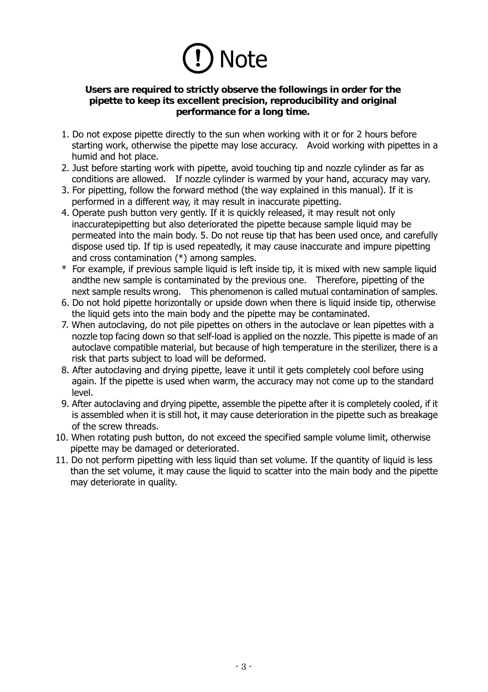

#### **Users are required to strictly observe the followings in order for the pipette to keep its excellent precision, reproducibility and original performance for a long time.**

- 1. Do not expose pipette directly to the sun when working with it or for 2 hours before starting work, otherwise the pipette may lose accuracy. Avoid working with pipettes in a humid and hot place.
- 2. Just before starting work with pipette, avoid touching tip and nozzle cylinder as far as conditions are allowed. If nozzle cylinder is warmed by your hand, accuracy may vary.
- 3. For pipetting, follow the forward method (the way explained in this manual). If it is performed in a different way, it may result in inaccurate pipetting.
- 4. Operate push button very gently. If it is quickly released, it may result not only inaccuratepipetting but also deteriorated the pipette because sample liquid may be permeated into the main body. 5. Do not reuse tip that has been used once, and carefully dispose used tip. If tip is used repeatedly, it may cause inaccurate and impure pipetting and cross contamination (\*) among samples.
- \* .For example, if previous sample liquid is left inside tip, it is mixed with new sample liquid andthe new sample is contaminated by the previous one. Therefore, pipetting of the next sample results wrong. This phenomenon is called mutual contamination of samples.
- 6. Do not hold pipette horizontally or upside down when there is liquid inside tip, otherwise the liquid gets into the main body and the pipette may be contaminated.
- 7. When autoclaving, do not pile pipettes on others in the autoclave or lean pipettes with a nozzle top facing down so that self-load is applied on the nozzle. This pipette is made of an autoclave compatible material, but because of high temperature in the sterilizer, there is a risk that parts subject to load will be deformed.
- 8. After autoclaving and drying pipette, leave it until it gets completely cool before using again. If the pipette is used when warm, the accuracy may not come up to the standard level.
- 9. After autoclaving and drying pipette, assemble the pipette after it is completely cooled, if it is assembled when it is still hot, it may cause deterioration in the pipette such as breakage of the screw threads.
- 10. When rotating push button, do not exceed the specified sample volume limit, otherwise pipette may be damaged or deteriorated.
- 11. Do not perform pipetting with less liquid than set volume. If the quantity of liquid is less than the set volume, it may cause the liquid to scatter into the main body and the pipette may deteriorate in quality.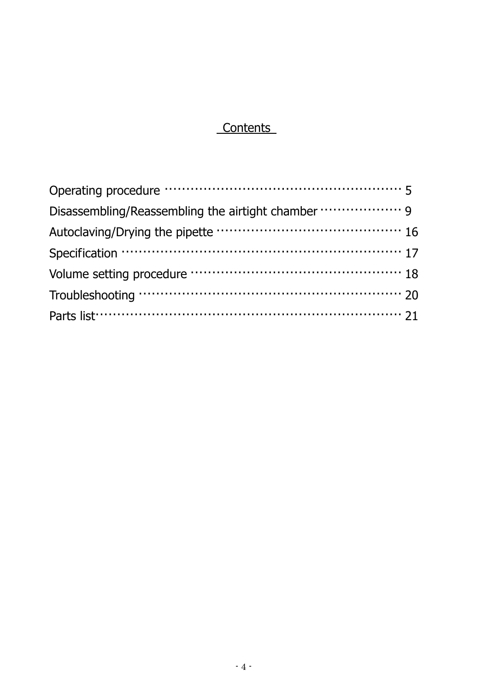# **Contents**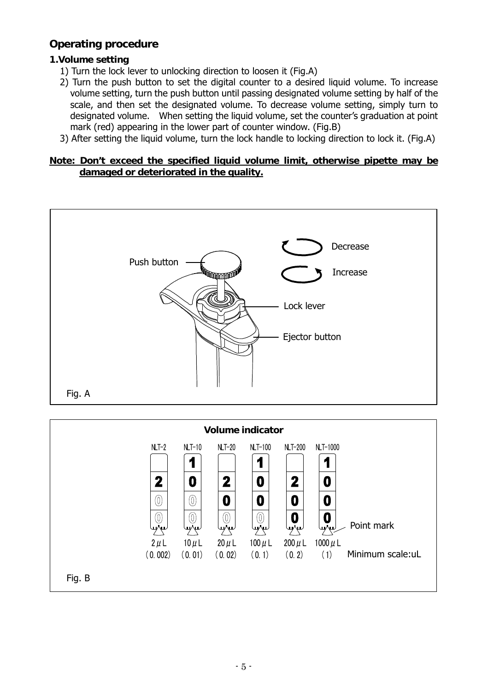## **Operating procedure**

#### **1.Volume setting**

- 1) Turn the lock lever to unlocking direction to loosen it (Fig.A)
- 2) Turn the push button to set the digital counter to a desired liquid volume. To increase volume setting, turn the push button until passing designated volume setting by half of the scale, and then set the designated volume. To decrease volume setting, simply turn to designated volume. When setting the liquid volume, set the counter's graduation at point mark (red) appearing in the lower part of counter window. (Fig.B)
- 3) After setting the liquid volume, turn the lock handle to locking direction to lock it. (Fig.A)

#### **Note: Don't exceed the specified liquid volume limit, otherwise pipette may be damaged or deteriorated in the quality.**



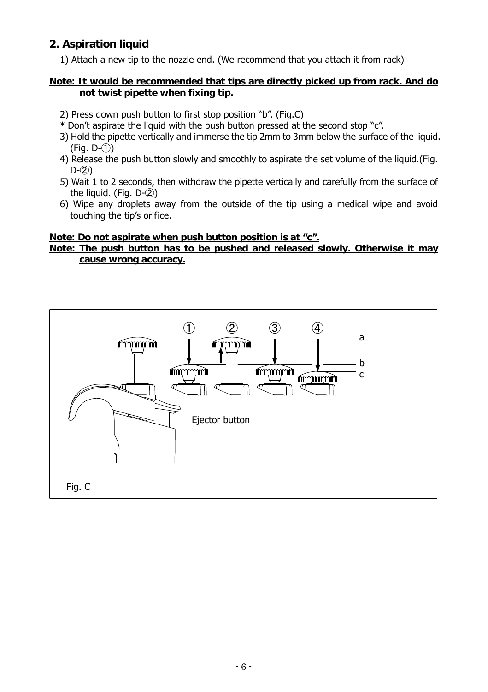## **2. Aspiration liquid**

1) Attach a new tip to the nozzle end. (We recommend that you attach it from rack)

#### **Note: It would be recommended that tips are directly picked up from rack. And do not twist pipette when fixing tip.**

- 2) Press down push button to first stop position "b". (Fig.C)
- \* Don't aspirate the liquid with the push button pressed at the second stop "c".
- 3) Hold the pipette vertically and immerse the tip 2mm to 3mm below the surface of the liquid.  $(Fia, D-(\hat{1}))$
- 4) Release the push button slowly and smoothly to aspirate the set volume of the liquid.(Fig.  $D-(2)$
- 5) Wait 1 to 2 seconds, then withdraw the pipette vertically and carefully from the surface of the liquid. (Fig.  $D-(2)$ )
- 6) Wipe any droplets away from the outside of the tip using a medical wipe and avoid touching the tip's orifice.

#### **Note: Do not aspirate when push button position is at "c".**

#### **Note: The push button has to be pushed and released slowly. Otherwise it may cause wrong accuracy.**

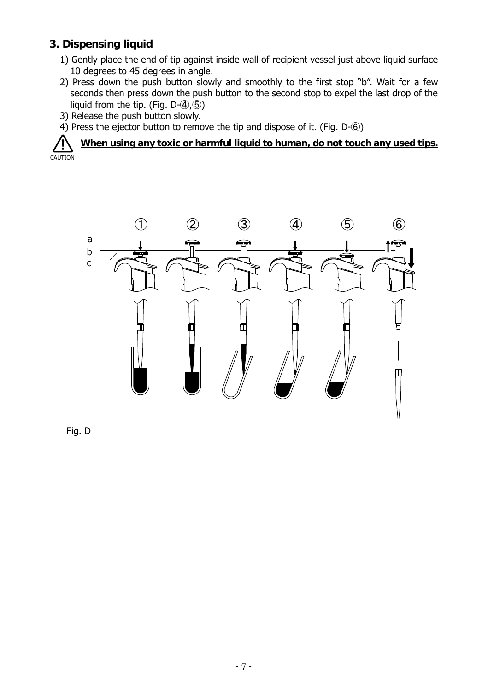## **3. Dispensing liquid**

- 1) Gently place the end of tip against inside wall of recipient vessel just above liquid surface 10 degrees to 45 degrees in angle.
- 2) Press down the push button slowly and smoothly to the first stop "b". Wait for a few seconds then press down the push button to the second stop to expel the last drop of the liquid from the tip. (Fig.  $D-(4)$ ,  $(5)$ )
- 3) Release the push button slowly.
- 4) Press the ejector button to remove the tip and dispose of it. (Fig. D- $\circledS$ )

**When using any toxic or harmful liquid to human, do not touch any used tips. CAUTION** 

b a

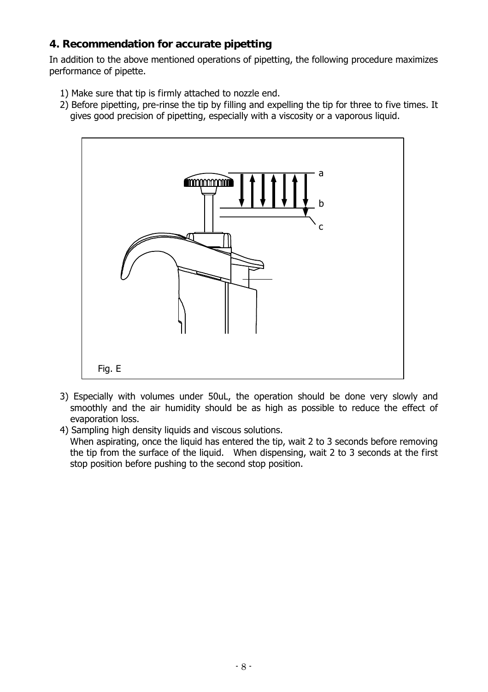## **4. Recommendation for accurate pipetting**

In addition to the above mentioned operations of pipetting, the following procedure maximizes performance of pipette.

- 1) Make sure that tip is firmly attached to nozzle end.
- 2) Before pipetting, pre-rinse the tip by filling and expelling the tip for three to five times. It gives good precision of pipetting, especially with a viscosity or a vaporous liquid.



3) Especially with volumes under 50uL, the operation should be done very slowly and smoothly and the air humidity should be as high as possible to reduce the effect of evaporation loss.

4) Sampling high density liquids and viscous solutions.

When aspirating, once the liquid has entered the tip, wait 2 to 3 seconds before removing the tip from the surface of the liquid. When dispensing, wait 2 to 3 seconds at the first stop position before pushing to the second stop position.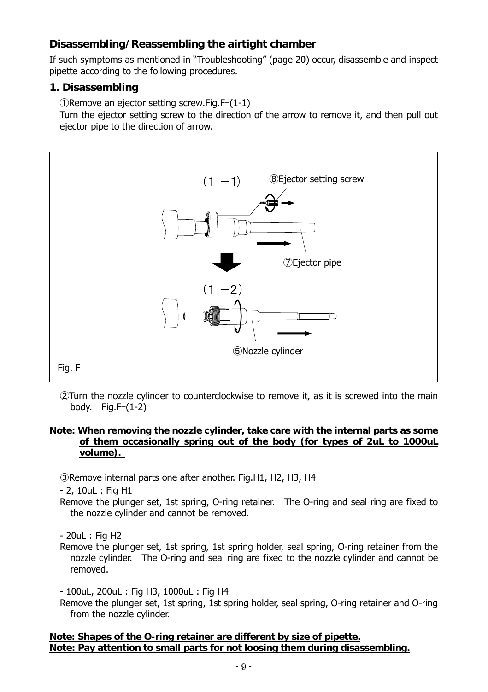## **Disassembling/Reassembling the airtight chamber**

If such symptoms as mentioned in "Troubleshooting" (page 20) occur, disassemble and inspect pipette according to the following procedures.

### **1. Disassembling**

①Remove an ejector setting screw.Fig.F–(1-1)

Turn the ejector setting screw to the direction of the arrow to remove it, and then pull out ejector pipe to the direction of arrow.



②Turn the nozzle cylinder to counterclockwise to remove it, as it is screwed into the main body. Fig.F–(1-2)

#### **Note: When removing the nozzle cylinder, take care with the internal parts as some of them occasionally spring out of the body (for types of 2uL to 1000uL volume).**

③Remove internal parts one after another. Fig.H1, H2, H3, H4

- 2, 10uL : Fig H1

Remove the plunger set, 1st spring, O-ring retainer. The O-ring and seal ring are fixed to the nozzle cylinder and cannot be removed.

- 20uL : Fig H2

Remove the plunger set, 1st spring, 1st spring holder, seal spring, O-ring retainer from the nozzle cylinder. The O-ring and seal ring are fixed to the nozzle cylinder and cannot be removed.

- 100uL, 200uL : Fig H3, 1000uL : Fig H4

Remove the plunger set, 1st spring, 1st spring holder, seal spring, O-ring retainer and O-ring from the nozzle cylinder.

**Note: Shapes of the O-ring retainer are different by size of pipette. Note: Pay attention to small parts for not loosing them during disassembling.**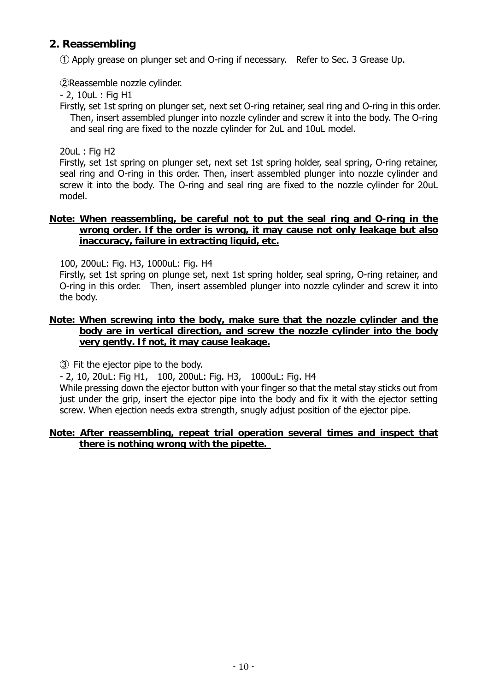## **2. Reassembling**

① Apply grease on plunger set and O-ring if necessary. Refer to Sec. 3 Grease Up.

②Reassemble nozzle cylinder.

- 2, 10uL : Fig H1

Firstly, set 1st spring on plunger set, next set O-ring retainer, seal ring and O-ring in this order. Then, insert assembled plunger into nozzle cylinder and screw it into the body. The O-ring and seal ring are fixed to the nozzle cylinder for 2uL and 10uL model.

20uL : Fig H2

Firstly, set 1st spring on plunger set, next set 1st spring holder, seal spring, O-ring retainer, seal ring and O-ring in this order. Then, insert assembled plunger into nozzle cylinder and screw it into the body. The O-ring and seal ring are fixed to the nozzle cylinder for 20uL model.

#### **Note: When reassembling, be careful not to put the seal ring and O-ring in the wrong order. If the order is wrong, it may cause not only leakage but also inaccuracy, failure in extracting liquid, etc.**

100, 200uL: Fig. H3, 1000uL: Fig. H4

Firstly, set 1st spring on plunge set, next 1st spring holder, seal spring, O-ring retainer, and O-ring in this order. Then, insert assembled plunger into nozzle cylinder and screw it into the body.

#### **Note: When screwing into the body, make sure that the nozzle cylinder and the body are in vertical direction, and screw the nozzle cylinder into the body very gently. If not, it may cause leakage.**

③ Fit the ejector pipe to the body.

- 2, 10, 20uL: Fig H1, 100, 200uL: Fig. H3, 1000uL: Fig. H4

While pressing down the ejector button with your finger so that the metal stay sticks out from just under the grip, insert the ejector pipe into the body and fix it with the ejector setting screw. When ejection needs extra strength, snugly adjust position of the ejector pipe.

#### **Note: After reassembling, repeat trial operation several times and inspect that there is nothing wrong with the pipette.**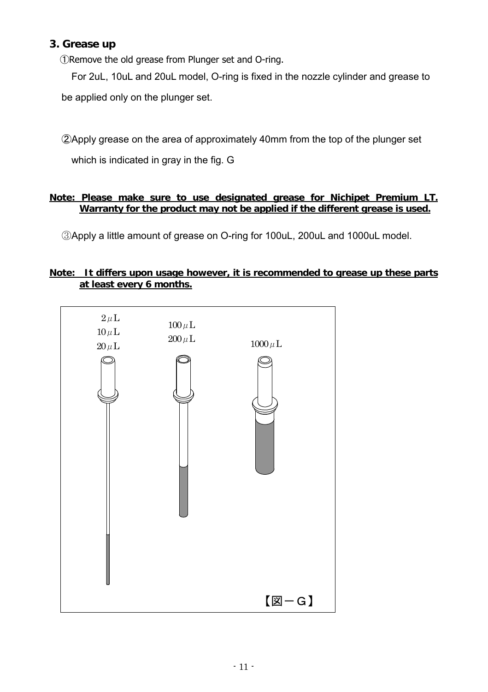## **3. Grease up**

①Remove the old grease from Plunger set and O-ring.

For 2uL, 10uL and 20uL model, O-ring is fixed in the nozzle cylinder and grease to be applied only on the plunger set.

②Apply grease on the area of approximately 40mm from the top of the plunger set which is indicated in gray in the fig. G

#### **Note: Please make sure to use designated grease for Nichipet Premium LT. Warranty for the product may not be applied if the different grease is used.**

③Apply a little amount of grease on O-ring for 100uL, 200uL and 1000uL model.

#### **Note: It differs upon usage however, it is recommended to grease up these parts at least every 6 months.**

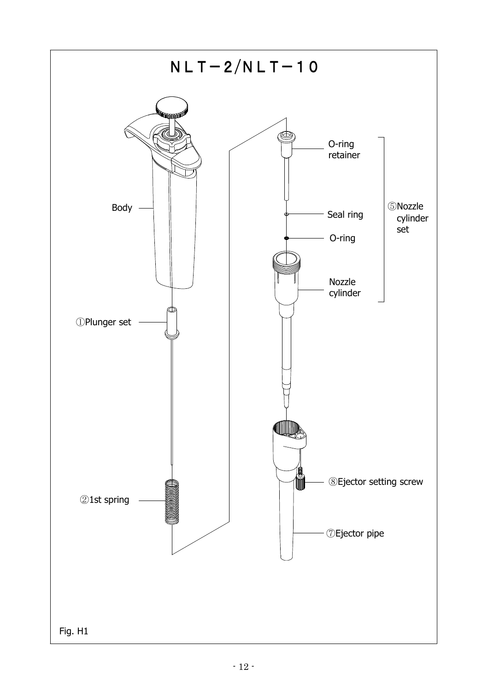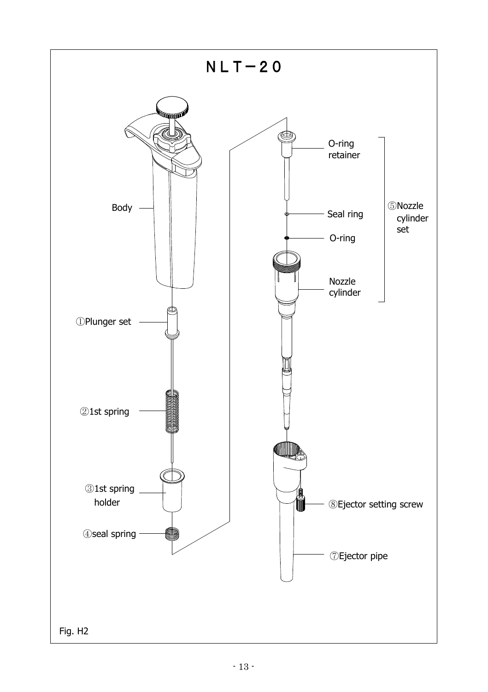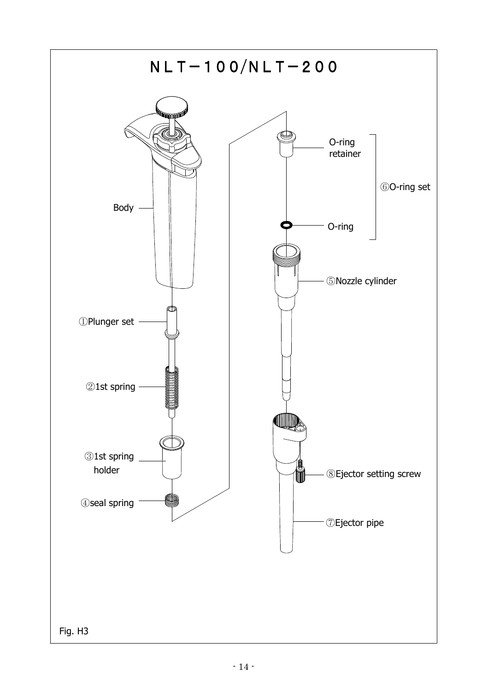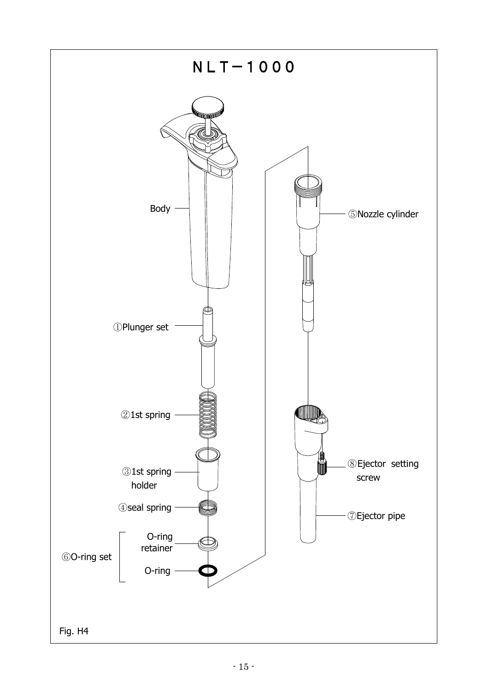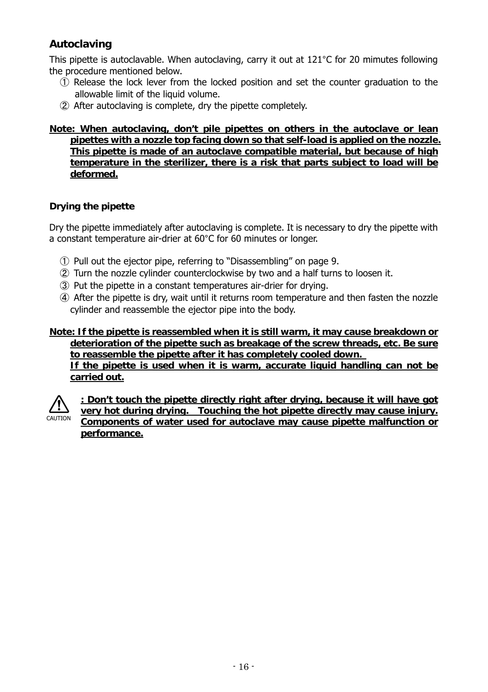## **Autoclaving**

This pipette is autoclavable. When autoclaving, carry it out at 121°C for 20 mimutes following the procedure mentioned below.

- ① Release the lock lever from the locked position and set the counter graduation to the allowable limit of the liquid volume.
- ② After autoclaving is complete, dry the pipette completely.

#### **Note: When autoclaving, don't pile pipettes on others in the autoclave or lean pipettes with a nozzle top facing down so that self-load is applied on the nozzle. This pipette is made of an autoclave compatible material, but because of high temperature in the sterilizer, there is a risk that parts subject to load will be deformed.**

#### **Drying the pipette**

Dry the pipette immediately after autoclaving is complete. It is necessary to dry the pipette with a constant temperature air-drier at 60°C for 60 minutes or longer.

- ① Pull out the ejector pipe, referring to "Disassembling" on page 9.
- ② Turn the nozzle cylinder counterclockwise by two and a half turns to loosen it.
- ③ Put the pipette in a constant temperatures air-drier for drying.
- ④ After the pipette is dry, wait until it returns room temperature and then fasten the nozzle cylinder and reassemble the ejector pipe into the body.

#### **Note: If the pipette is reassembled when it is still warm, it may cause breakdown or deterioration of the pipette such as breakage of the screw threads, etc. Be sure to reassemble the pipette after it has completely cooled down. If the pipette is used when it is warm, accurate liquid handling can not be carried out.**



**: Don't touch the pipette directly right after drying, because it will have got very hot during drying. Touching the hot pipette directly may cause injury. Components of water used for autoclave may cause pipette malfunction or performance.**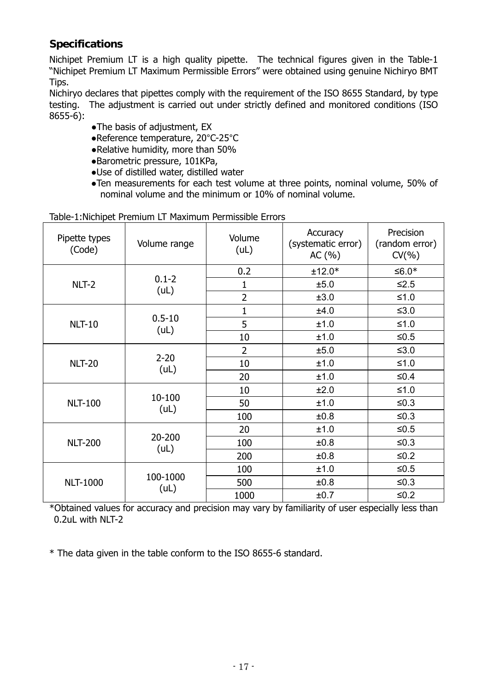## **Specifications**

Nichipet Premium LT is a high quality pipette. The technical figures given in the Table-1 "Nichipet Premium LT Maximum Permissible Errors" were obtained using genuine Nichiryo BMT Tips.

Nichiryo declares that pipettes comply with the requirement of the ISO 8655 Standard, by type testing. The adjustment is carried out under strictly defined and monitored conditions (ISO 8655-6):

- ●The basis of adjustment, EX
- ●Reference temperature, 20°C-25°C
- ●Relative humidity, more than 50%
- ●Barometric pressure, 101KPa,
- ●Use of distilled water, distilled water
- ●Ten measurements for each test volume at three points, nominal volume, 50% of nominal volume and the minimum or 10% of nominal volume.

#### Table-1:Nichipet Premium LT Maximum Permissible Errors

| Pipette types<br>(Code) | Volume range       | Volume<br>(UL) | Accuracy<br>(systematic error)<br>AC (%) | Precision<br>(random error)<br>$CV(\% )$ |
|-------------------------|--------------------|----------------|------------------------------------------|------------------------------------------|
|                         |                    | 0.2            | $±12.0*$                                 | ≤6.0 <sup>*</sup>                        |
| NLT-2                   | $0.1 - 2$<br>(UL)  | 1              | ±5.0                                     | $≤2.5$                                   |
|                         |                    | 2              | ±3.0                                     | $≤1.0$                                   |
|                         |                    | 1              | ±4.0                                     | ≤ $3.0$                                  |
| <b>NLT-10</b>           | $0.5 - 10$<br>(UL) | 5              | ±1.0                                     | $≤1.0$                                   |
|                         |                    | 10             | ±1.0                                     | ≤ $0.5$                                  |
|                         | $2 - 20$<br>(UL)   | $\overline{2}$ | ±5.0                                     | $≤3.0$                                   |
| <b>NLT-20</b>           |                    | 10             | ±1.0                                     | $≤1.0$                                   |
|                         |                    | 20             | ±1.0                                     | ≤0.4                                     |
|                         |                    | 10             | ±2.0                                     | $≤1.0$                                   |
| <b>NLT-100</b>          | 10-100<br>(UL)     | 50             | ±1.0                                     | ≤ $0.3$                                  |
|                         |                    | 100            | ±0.8                                     | ≤ $0.3$                                  |
|                         |                    | 20             | ±1.0                                     | ≤ $0.5$                                  |
| <b>NLT-200</b>          | 20-200<br>(UL)     | 100            | ±0.8                                     | ≤ $0.3$                                  |
|                         |                    | 200            | ±0.8                                     | $≤0.2$                                   |
|                         |                    | 100            | ±1.0                                     | ≤ $0.5$                                  |
| <b>NLT-1000</b>         | 100-1000           | 500            | ±0.8                                     | ≤ $0.3$                                  |
|                         | (UL)               | 1000           | ±0.7                                     | $≤0.2$                                   |

\*Obtained values for accuracy and precision may vary by familiarity of user especially less than 0.2uL with NLT-2

\* The data given in the table conform to the ISO 8655-6 standard.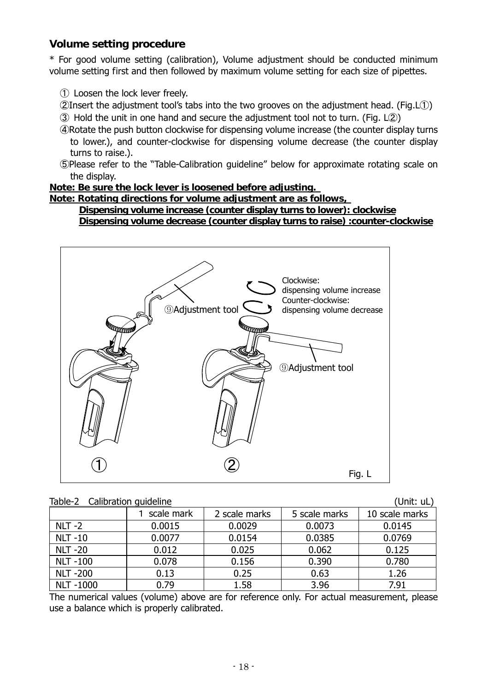## **Volume setting procedure**

\* For good volume setting (calibration), Volume adjustment should be conducted minimum volume setting first and then followed by maximum volume setting for each size of pipettes.

- ① Loosen the lock lever freely.
- ②Insert the adjustment tool's tabs into the two grooves on the adjustment head. (Fig.L①)
- ③ Hold the unit in one hand and secure the adjustment tool not to turn. (Fig. L②)
- ④Rotate the push button clockwise for dispensing volume increase (the counter display turns to lower.), and counter-clockwise for dispensing volume decrease (the counter display turns to raise.).
- ⑤Please refer to the "Table-Calibration guideline" below for approximate rotating scale on the display.

**Note: Be sure the lock lever is loosened before adjusting.** 

**Note: Rotating directions for volume adjustment are as follows,** 

**Dispensing volume increase (counter display turns to lower): clockwise Dispensing volume decrease (counter display turns to raise) :counter-clockwise** 



|  | Table-2 Calibration quideline |  | (Unit: uL) |
|--|-------------------------------|--|------------|
|--|-------------------------------|--|------------|

|                 | scale mark | 2 scale marks | 5 scale marks | 10 scale marks |  |
|-----------------|------------|---------------|---------------|----------------|--|
| $NLT -2$        | 0.0015     | 0.0029        | 0.0073        | 0.0145         |  |
| <b>NLT-10</b>   | 0.0077     | 0.0154        | 0.0385        | 0.0769         |  |
| <b>NLT -20</b>  | 0.012      | 0.025         | 0.062         | 0.125          |  |
| <b>NLT-100</b>  | 0.078      | 0.156         | 0.390         | 0.780          |  |
| <b>NLT -200</b> | 0.13       | 0.25          | 0.63          | 1.26           |  |
| <b>NLT-1000</b> | 0.79       | 1.58          | 3.96          | 7.91           |  |

The numerical values (volume) above are for reference only. For actual measurement, please use a balance which is properly calibrated.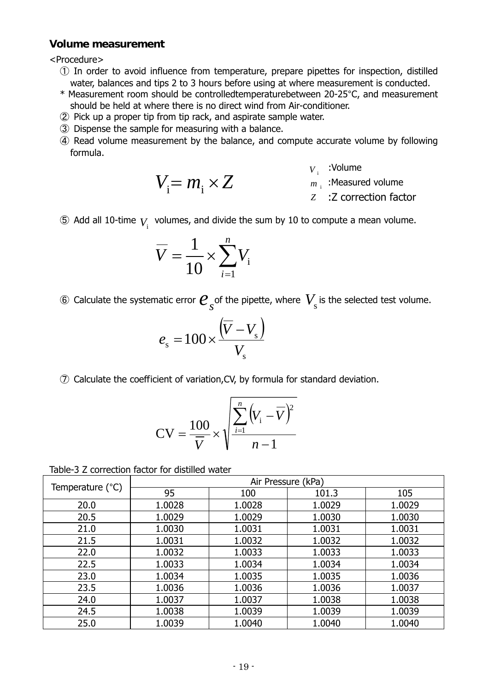#### **Volume measurement**

<Procedure>

- ① In order to avoid influence from temperature, prepare pipettes for inspection, distilled water, balances and tips 2 to 3 hours before using at where measurement is conducted.
- \* Measurement room should be controlledtemperaturebetween 20-25°C, and measurement should be held at where there is no direct wind from Air-conditioner.
- ② Pick up a proper tip from tip rack, and aspirate sample water.

 $V_i = m_i \times Z$ 

- ③ Dispense the sample for measuring with a balance.
- ④ Read volume measurement by the balance, and compute accurate volume by following formula.
	- $V_i$ : Volume

 $m_{\rm i}^{}$  :Measured volume

*Z* :Z correction factor

 $\circledS$  Add all 10-time  $V_{\mathrm{i}}$  volumes, and divide the sum by 10 to compute a mean volume.

$$
\overline{V} = \frac{1}{10} \times \sum_{i=1}^{n} V_i
$$

 $\circledast$  Calculate the systematic error  $\boldsymbol{\mathcal{C}}_{\overline{S}}$  of the pipette, where  $\textit{V}_{\overline{S}}$  is the selected test volume.

$$
e_{\rm s} = 100 \times \frac{\left(\overline{V} - V_{\rm s}\right)}{V_{\rm s}}
$$

⑦ Calculate the coefficient of variation,CV, by formula for standard deviation.

$$
CV = \frac{100}{\overline{V}} \times \sqrt{\frac{\sum_{i=1}^{n} (V_i - \overline{V})^2}{n-1}}
$$

| Table-3 Z correction factor for distilled water |  |  |  |
|-------------------------------------------------|--|--|--|
|-------------------------------------------------|--|--|--|

|                  | Air Pressure (kPa) |        |        |        |  |
|------------------|--------------------|--------|--------|--------|--|
| Temperature (°C) | 95                 | 100    | 101.3  | 105    |  |
| 20.0             | 1.0028             | 1.0028 | 1.0029 | 1.0029 |  |
| 20.5             | 1.0029             | 1.0029 | 1.0030 | 1.0030 |  |
| 21.0             | 1.0030             | 1.0031 | 1.0031 | 1.0031 |  |
| 21.5             | 1.0031             | 1.0032 | 1.0032 | 1.0032 |  |
| 22.0             | 1.0032             | 1.0033 | 1.0033 | 1.0033 |  |
| 22.5             | 1.0033             | 1.0034 | 1.0034 | 1.0034 |  |
| 23.0             | 1.0034             | 1.0035 | 1.0035 | 1.0036 |  |
| 23.5             | 1.0036             | 1.0036 | 1.0036 | 1.0037 |  |
| 24.0             | 1.0037             | 1.0037 | 1.0038 | 1.0038 |  |
| 24.5             | 1.0038             | 1.0039 | 1.0039 | 1.0039 |  |
| 25.0             | 1.0039             | 1.0040 | 1.0040 | 1.0040 |  |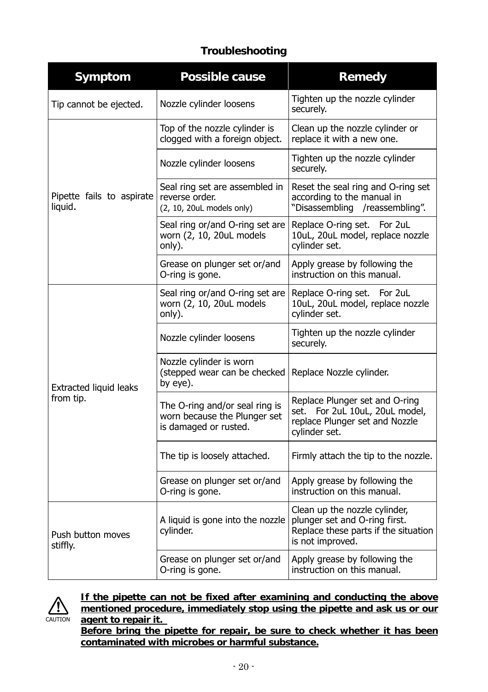## **Troubleshooting**

| Symptom                              | Possible cause                                                                          | Remedy                                                                                                                     |  |
|--------------------------------------|-----------------------------------------------------------------------------------------|----------------------------------------------------------------------------------------------------------------------------|--|
| Tip cannot be ejected.               | Nozzle cylinder loosens                                                                 | Tighten up the nozzle cylinder<br>securely.                                                                                |  |
|                                      | Top of the nozzle cylinder is<br>clogged with a foreign object.                         | Clean up the nozzle cylinder or<br>replace it with a new one.                                                              |  |
|                                      | Nozzle cylinder loosens                                                                 | Tighten up the nozzle cylinder<br>securely.                                                                                |  |
| Pipette fails to aspirate<br>liquid. | Seal ring set are assembled in<br>reverse order.<br>(2, 10, 20uL models only)           | Reset the seal ring and O-ring set<br>according to the manual in<br>"Disassembling /reassembling".                         |  |
|                                      | Seal ring or/and O-ring set are<br>worn (2, 10, 20uL models<br>only).                   | Replace O-ring set. For 2uL<br>10uL, 20uL model, replace nozzle<br>cylinder set.                                           |  |
|                                      | Grease on plunger set or/and<br>O-ring is gone.                                         | Apply grease by following the<br>instruction on this manual.                                                               |  |
|                                      | Seal ring or/and O-ring set are<br>worn (2, 10, 20uL models<br>only).                   | Replace O-ring set. For 2uL<br>10uL, 20uL model, replace nozzle<br>cylinder set.                                           |  |
|                                      | Nozzle cylinder loosens                                                                 | Tighten up the nozzle cylinder<br>securely.                                                                                |  |
| Extracted liquid leaks               | Nozzle cylinder is worn<br>(stepped wear can be checked<br>by eye).                     | Replace Nozzle cylinder.                                                                                                   |  |
| from tip.                            | The O-ring and/or seal ring is<br>worn because the Plunger set<br>is damaged or rusted. | Replace Plunger set and O-ring<br>set. For 2uL 10uL, 20uL model,<br>replace Plunger set and Nozzle<br>cylinder set.        |  |
|                                      | The tip is loosely attached.                                                            | Firmly attach the tip to the nozzle.                                                                                       |  |
|                                      | Grease on plunger set or/and<br>O-ring is gone.                                         | Apply grease by following the<br>instruction on this manual.                                                               |  |
| Push button moves<br>stiffly.        | A liquid is gone into the nozzle<br>cylinder.                                           | Clean up the nozzle cylinder,<br>plunger set and O-ring first.<br>Replace these parts if the situation<br>is not improved. |  |
|                                      | Grease on plunger set or/and<br>O-ring is gone.                                         | Apply grease by following the<br>instruction on this manual.                                                               |  |



**If the pipette can not be fixed after examining and conducting the above mentioned procedure, immediately stop using the pipette and ask us or our agent to repair it.** 

**Before bring the pipette for repair, be sure to check whether it has been contaminated with microbes or harmful substance.**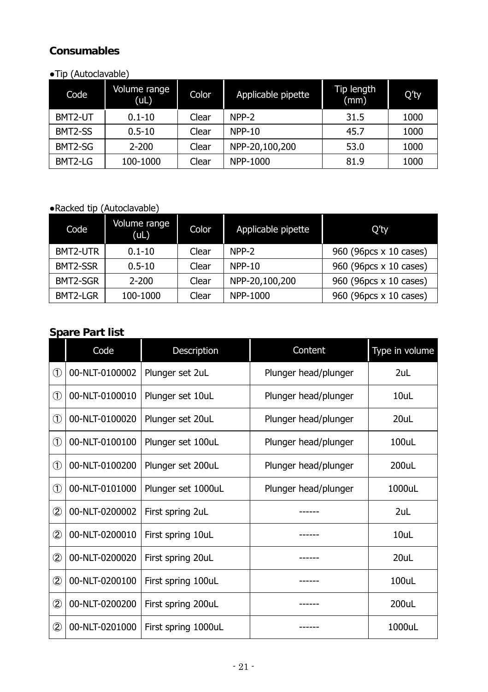## **Consumables**

### ●Tip (Autoclavable)

| Code    | Volume range<br>(UL) | Color | Applicable pipette | Tip length<br>(mm) | Q'ty |
|---------|----------------------|-------|--------------------|--------------------|------|
| BMT2-UT | $0.1 - 10$           | Clear | NPP-2              | 31.5               | 1000 |
| BMT2-SS | $0.5 - 10$           | Clear | $NPP-10$           | 45.7               | 1000 |
| BMT2-SG | $2 - 200$            | Clear | NPP-20,100,200     | 53.0               | 1000 |
| BMT2-LG | 100-1000             | Clear | NPP-1000           | 81.9               | 1000 |

## ●Racked tip (Autoclavable)

| Code     | Volume range<br>(UL) | <b>Color</b> | Applicable pipette | O'ty                   |
|----------|----------------------|--------------|--------------------|------------------------|
| BMT2-UTR | $0.1 - 10$           | Clear        | NPP-2              | 960 (96pcs x 10 cases) |
| BMT2-SSR | $0.5 - 10$           | Clear        | NPP-10             | 960 (96pcs x 10 cases) |
| BMT2-SGR | $2 - 200$            | Clear        | NPP-20,100,200     | 960 (96pcs x 10 cases) |
| BMT2-LGR | 100-1000             | Clear        | NPP-1000           | 960 (96pcs x 10 cases) |

## **Spare Part list**

|                | Code           | Description         | Content              | Type in volume |
|----------------|----------------|---------------------|----------------------|----------------|
| $^\circledR$   | 00-NLT-0100002 | Plunger set 2uL     | Plunger head/plunger | 2uL            |
| $\circled{1}$  | 00-NLT-0100010 | Plunger set 10uL    | Plunger head/plunger | 10uL           |
| $^{\circledR}$ | 00-NLT-0100020 | Plunger set 20uL    | Plunger head/plunger | 20uL           |
| $^{\circledR}$ | 00-NLT-0100100 | Plunger set 100uL   | Plunger head/plunger | $100$ uL       |
| $^{\circledR}$ | 00-NLT-0100200 | Plunger set 200uL   | Plunger head/plunger | 200uL          |
| $^{\circledR}$ | 00-NLT-0101000 | Plunger set 1000uL  | Plunger head/plunger | 1000uL         |
| $^{\circledR}$ | 00-NLT-0200002 | First spring 2uL    |                      | 2uL            |
| ②              | 00-NLT-0200010 | First spring 10uL   |                      | 10uL           |
| $\circledZ$    | 00-NLT-0200020 | First spring 20uL   |                      | 20uL           |
| ②              | 00-NLT-0200100 | First spring 100uL  |                      | 100uL          |
| $\circledZ$    | 00-NLT-0200200 | First spring 200uL  |                      | 200uL          |
| $\circled{2}$  | 00-NLT-0201000 | First spring 1000uL |                      | 1000uL         |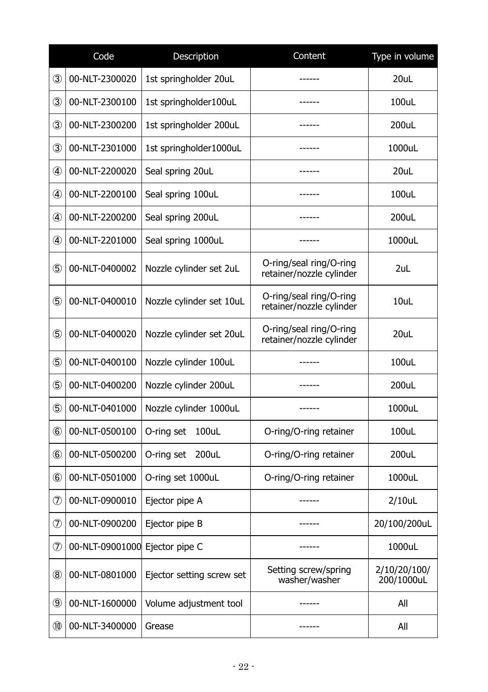|                | Code            | Description               | Content                                             | Type in volume             |
|----------------|-----------------|---------------------------|-----------------------------------------------------|----------------------------|
| 3              | 00-NLT-2300020  | 1st springholder 20uL     |                                                     | 20uL                       |
| ③              | 00-NLT-2300100  | 1st springholder100uL     | ------                                              | 100uL                      |
| $\circled{3}$  | 00-NLT-2300200  | 1st springholder 200uL    | ------                                              | 200uL                      |
| $\circled{3}$  | 00-NLT-2301000  | 1st springholder1000uL    | ------                                              | 1000uL                     |
| 4              | 00-NLT-2200020  | Seal spring 20uL          | ------                                              | 20uL                       |
| 4              | 00-NLT-2200100  | Seal spring 100uL         |                                                     | 100uL                      |
| 4              | 00-NLT-2200200  | Seal spring 200uL         |                                                     | 200uL                      |
| 4              | 00-NLT-2201000  | Seal spring 1000uL        | ------                                              | 1000uL                     |
| $\circledS$    | 00-NLT-0400002  | Nozzle cylinder set 2uL   | O-ring/seal ring/O-ring<br>retainer/nozzle cylinder | 2uL                        |
| $\circledS$    | 00-NLT-0400010  | Nozzle cylinder set 10uL  | O-ring/seal ring/O-ring<br>retainer/nozzle cylinder | 10uL                       |
| (5)            | 00-NLT-0400020  | Nozzle cylinder set 20uL  | O-ring/seal ring/O-ring<br>retainer/nozzle cylinder | 20uL                       |
| (5)            | 00-NLT-0400100  | Nozzle cylinder 100uL     | ------                                              | 100uL                      |
| $\circledS$    | 00-NLT-0400200  | Nozzle cylinder 200uL     |                                                     | 200uL                      |
| $\circledS$    | 00-NLT-0401000  | Nozzle cylinder 1000uL    | ------                                              | 1000uL                     |
| $\circled6$    | 00-NLT-0500100  | O-ring set<br>100uL       | O-ring/O-ring retainer                              | 100uL                      |
| $\circledast$  | 00-NLT-0500200  | O-ring set<br>200uL       | O-ring/O-ring retainer                              | 200uL                      |
| $\circledast$  | 00-NLT-0501000  | O-ring set 1000uL         | O-ring/O-ring retainer                              | 1000uL                     |
| フ              | 00-NLT-0900010  | Ejector pipe A            |                                                     | $2/10$ uL                  |
| フ              | 00-NLT-0900200  | Ejector pipe B            |                                                     | 20/100/200uL               |
| $\circledD$    | 00-NLT-09001000 | Ejector pipe C            |                                                     | 1000uL                     |
| $^\circledR$   | 00-NLT-0801000  | Ejector setting screw set | Setting screw/spring<br>washer/washer               | 2/10/20/100/<br>200/1000uL |
| 9              | 00-NLT-1600000  | Volume adjustment tool    | ------                                              | All                        |
| $^{\circledR}$ | 00-NLT-3400000  | Grease                    |                                                     | All                        |